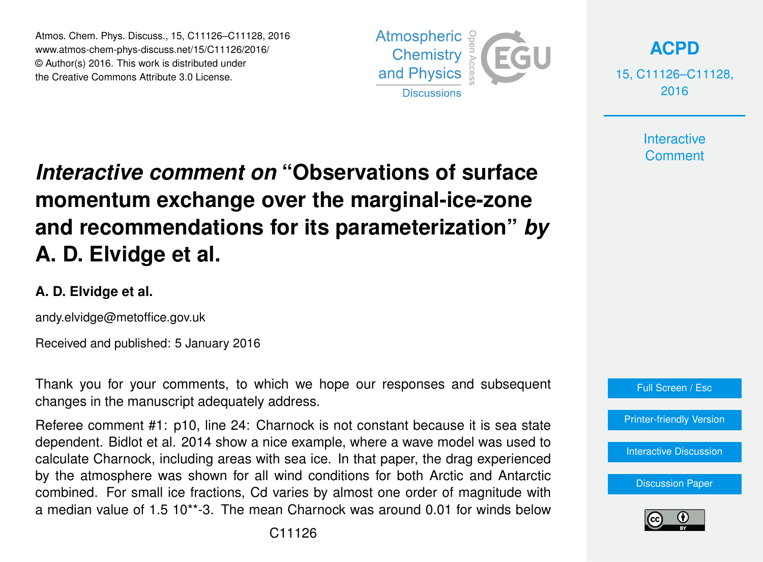Atmos. Chem. Phys. Discuss., 15, C11126–C11128, 2016 www.atmos-chem-phys-discuss.net/15/C11126/2016/ © Author(s) 2016. This work is distributed under the Creative Commons Attribute 3.0 License.



**[ACPD](http://www.atmos-chem-phys-discuss.net)**

15, C11126–C11128, 2016

> **Interactive Comment**

## *Interactive comment on* **"Observations of surface momentum exchange over the marginal-ice-zone and recommendations for its parameterization"** *by* **A. D. Elvidge et al.**

## **A. D. Elvidge et al.**

andy.elvidge@metoffice.gov.uk

Received and published: 5 January 2016

Thank you for your comments, to which we hope our responses and subsequent changes in the manuscript adequately address.

Referee comment #1: p10, line 24: Charnock is not constant because it is sea state dependent. Bidlot et al. 2014 show a nice example, where a wave model was used to calculate Charnock, including areas with sea ice. In that paper, the drag experienced by the atmosphere was shown for all wind conditions for both Arctic and Antarctic combined. For small ice fractions, Cd varies by almost one order of magnitude with a median value of 1.5 10\*\*-3. The mean Charnock was around 0.01 for winds below



[Printer-friendly Version](http://www.atmos-chem-phys-discuss.net/15/C11126/2016/acpd-15-C11126-2016-print.pdf)

[Interactive Discussion](http://www.atmos-chem-phys-discuss.net/15/26609/2015/acpd-15-26609-2015-discussion.html)

[Discussion Paper](http://www.atmos-chem-phys-discuss.net/15/26609/2015/acpd-15-26609-2015.pdf)

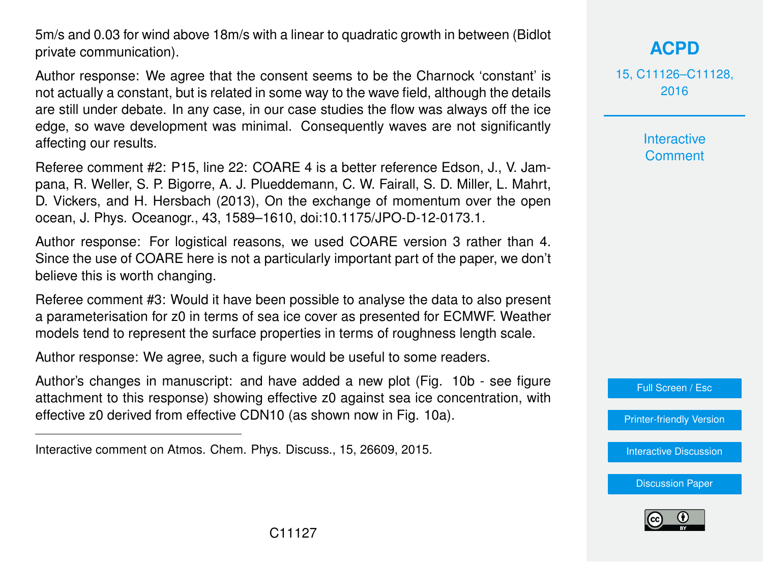5m/s and 0.03 for wind above 18m/s with a linear to quadratic growth in between (Bidlot private communication).

Author response: We agree that the consent seems to be the Charnock 'constant' is not actually a constant, but is related in some way to the wave field, although the details are still under debate. In any case, in our case studies the flow was always off the ice edge, so wave development was minimal. Consequently waves are not significantly affecting our results.

Referee comment #2: P15, line 22: COARE 4 is a better reference Edson, J., V. Jampana, R. Weller, S. P. Bigorre, A. J. Plueddemann, C. W. Fairall, S. D. Miller, L. Mahrt, D. Vickers, and H. Hersbach (2013), On the exchange of momentum over the open ocean, J. Phys. Oceanogr., 43, 1589–1610, doi:10.1175/JPO-D-12-0173.1.

Author response: For logistical reasons, we used COARE version 3 rather than 4. Since the use of COARE here is not a particularly important part of the paper, we don't believe this is worth changing.

Referee comment #3: Would it have been possible to analyse the data to also present a parameterisation for z0 in terms of sea ice cover as presented for ECMWF. Weather models tend to represent the surface properties in terms of roughness length scale.

Author response: We agree, such a figure would be useful to some readers.

Author's changes in manuscript: and have added a new plot (Fig. 10b - see figure attachment to this response) showing effective z0 against sea ice concentration, with effective z0 derived from effective CDN10 (as shown now in Fig. 10a).

15, C11126–C11128, 2016

> Interactive **Comment**

Full Screen / Esc

[Printer-friendly Version](http://www.atmos-chem-phys-discuss.net/15/C11126/2016/acpd-15-C11126-2016-print.pdf)

[Interactive Discussion](http://www.atmos-chem-phys-discuss.net/15/26609/2015/acpd-15-26609-2015-discussion.html)

[Discussion Paper](http://www.atmos-chem-phys-discuss.net/15/26609/2015/acpd-15-26609-2015.pdf)



Interactive comment on Atmos. Chem. Phys. Discuss., 15, 26609, 2015.